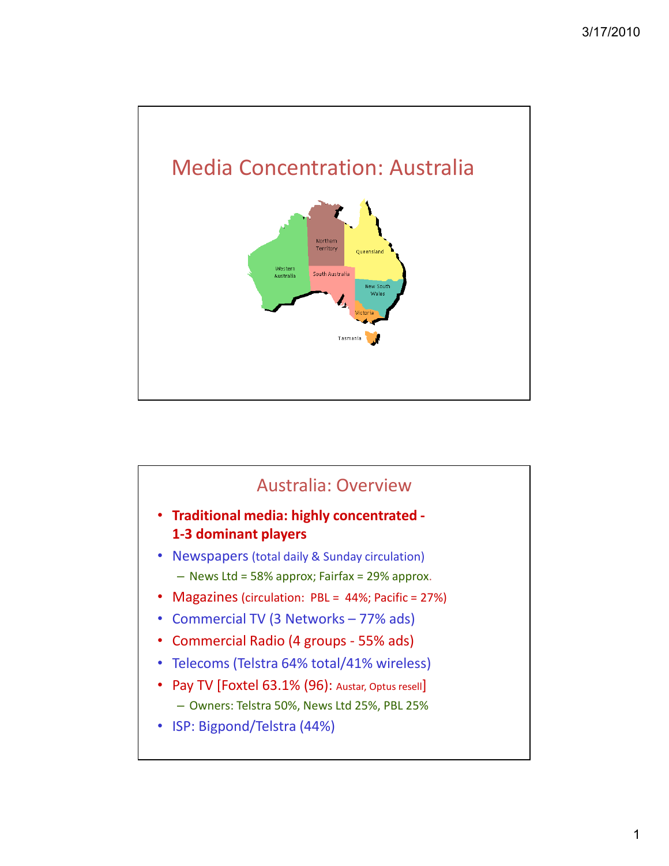

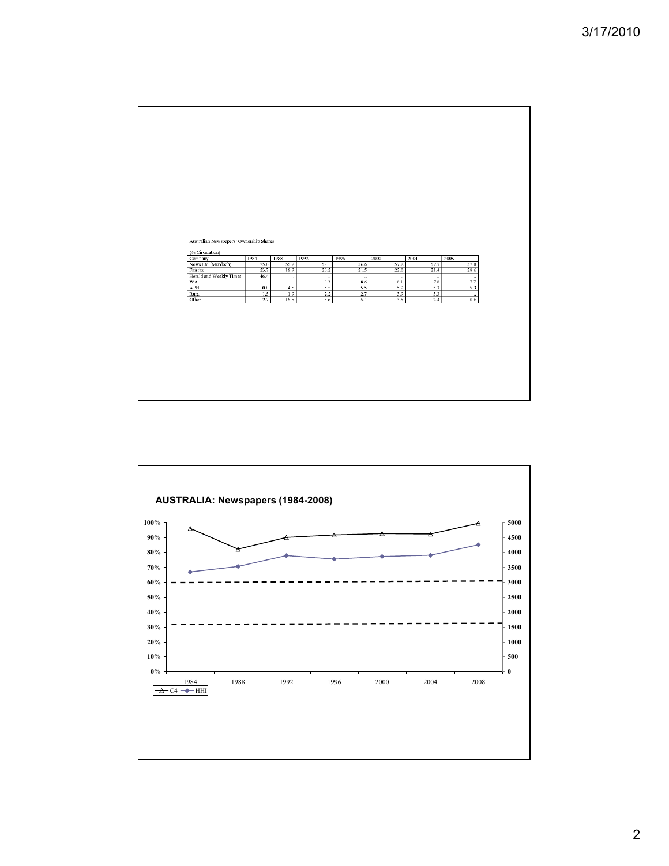

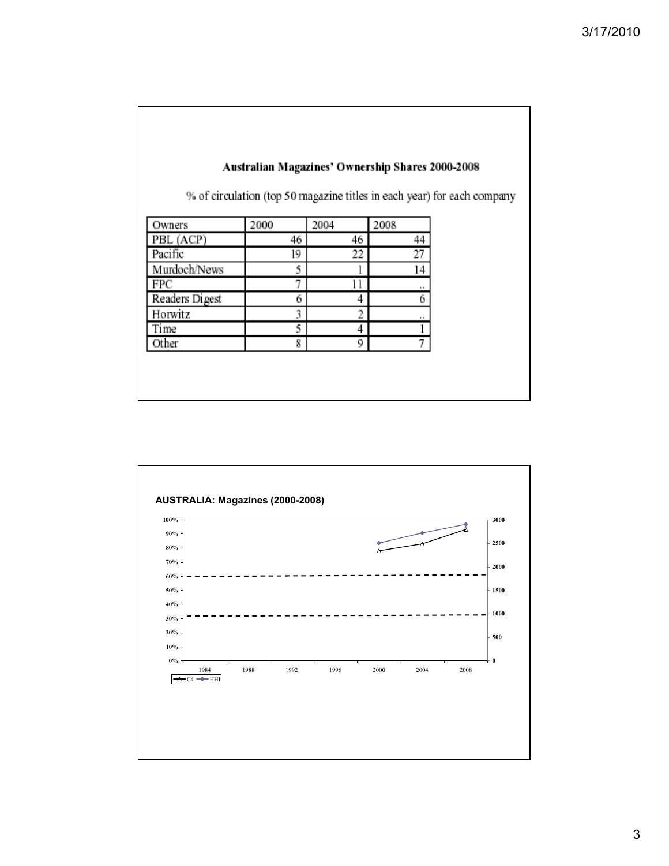|                |      |      |      | % of circulation (top 50 magazine titles in each year) for each company |
|----------------|------|------|------|-------------------------------------------------------------------------|
| Owners         | 2000 | 2004 | 2008 |                                                                         |
| PBL (ACP)      | 46   | 46   | 44   |                                                                         |
| Pacific        | 19   | 22   | 27   |                                                                         |
| Murdoch/News   | 5    |      | 14   |                                                                         |
| FPC            | 7    | 11   |      |                                                                         |
| Readers Digest | 6    | 4    | 6    |                                                                         |
| Horwitz        | 3    | 2    | ٠    |                                                                         |
| Time           | 5    | 4    |      |                                                                         |
| Other          | 8    | 9    |      |                                                                         |
|                |      |      |      |                                                                         |



## 3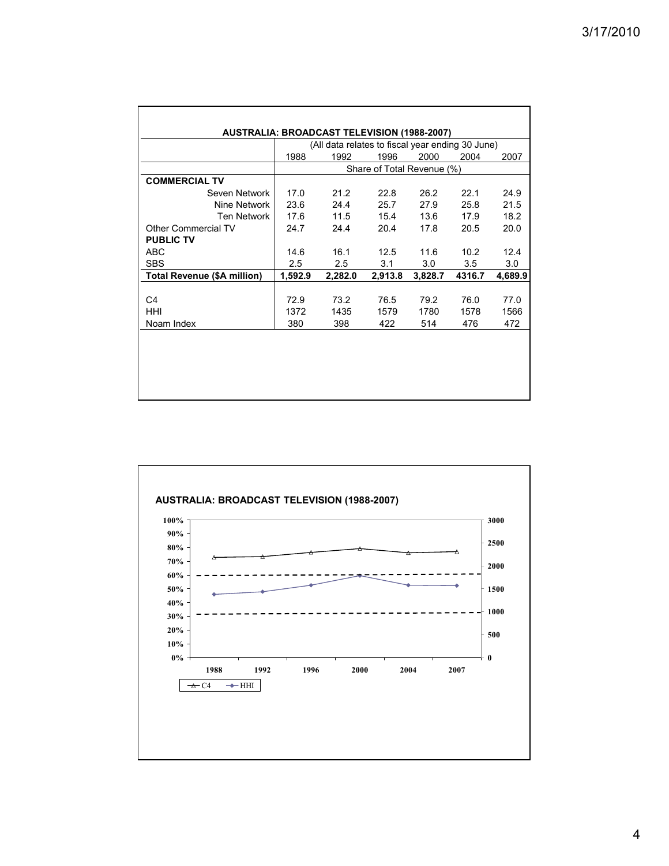|                                    |         |         |                            |         | (All data relates to fiscal year ending 30 June) |         |  |
|------------------------------------|---------|---------|----------------------------|---------|--------------------------------------------------|---------|--|
|                                    | 1988    | 1992    | 1996                       | 2000    | 2004                                             | 2007    |  |
|                                    |         |         | Share of Total Revenue (%) |         |                                                  |         |  |
| <b>COMMERCIAL TV</b>               |         |         |                            |         |                                                  |         |  |
| Seven Network                      | 17.0    | 21.2    | 22.8                       | 26.2    | 22.1                                             | 24.9    |  |
| Nine Network                       | 23.6    | 24.4    | 25.7                       | 27.9    | 25.8                                             | 21.5    |  |
| Ten Network                        | 17.6    | 11.5    | 15.4                       | 13.6    | 17.9                                             | 18.2    |  |
| Other Commercial TV                | 24.7    | 24.4    | 20.4                       | 17.8    | 20.5                                             | 20.0    |  |
| <b>PUBLIC TV</b>                   |         |         |                            |         |                                                  |         |  |
| <b>ABC</b>                         | 14.6    | 16.1    | 12.5                       | 11.6    | 10.2                                             | 12.4    |  |
| <b>SBS</b>                         | 2.5     | 2.5     | 3.1                        | 3.0     | 3.5                                              | 3.0     |  |
| <b>Total Revenue (\$A million)</b> | 1,592.9 | 2,282.0 | 2,913.8                    | 3,828.7 | 4316.7                                           | 4,689.9 |  |
|                                    |         |         |                            |         |                                                  |         |  |
| C4                                 | 72.9    | 73.2    | 76.5                       | 79.2    | 76.0                                             | 77.0    |  |
| HHI                                | 1372    | 1435    | 1579                       | 1780    | 1578                                             | 1566    |  |
| Noam Index                         | 380     | 398     | 422                        | 514     | 476                                              | 472     |  |
|                                    |         |         |                            |         |                                                  |         |  |
|                                    |         |         |                            |         |                                                  |         |  |
|                                    |         |         |                            |         |                                                  |         |  |

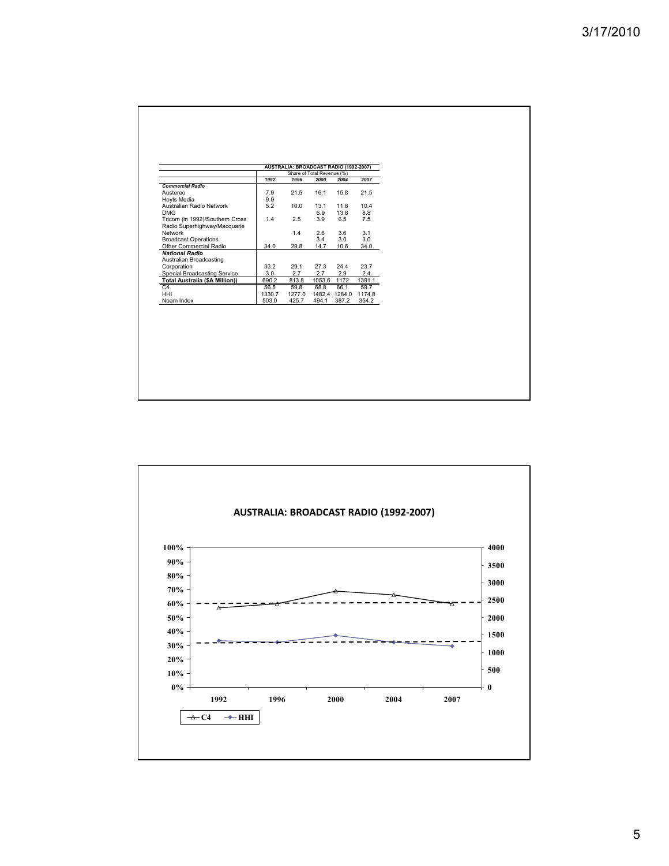| <b>Commercial Radio</b><br>Austereo<br>Hoyts Media    | 1992<br>7.9 | 1996<br>21.5 | Share of Total Revenue (%)<br>2000 | 2004       | 2007                 |  |
|-------------------------------------------------------|-------------|--------------|------------------------------------|------------|----------------------|--|
|                                                       |             |              |                                    |            |                      |  |
|                                                       |             |              |                                    |            |                      |  |
|                                                       |             |              | 16.1                               | 15.8       | 21.5                 |  |
|                                                       | 9.9         |              |                                    |            |                      |  |
| Australian Radio Network                              | 5.2         | 10.0         | 13.1                               | 11.8       | 10.4                 |  |
| <b>DMG</b>                                            |             |              | 6.9                                | 13.8       | 8.8                  |  |
| Tricom (in 1992)/Southern Cross                       | 1.4         | 2.5          | 3.9                                | 6.5        | 7.5                  |  |
| Radio Superhighway/Macquarie                          |             |              |                                    |            |                      |  |
| Network                                               |             | 1.4          | 2.8<br>3.4                         | 3.6<br>3.0 | 3.1                  |  |
| <b>Broadcast Operations</b><br>Other Commercial Radio | 34.0        | 29.8         | 14.7                               | 10.6       | 3.0<br>34.0          |  |
| <b>National Radio</b>                                 |             |              |                                    |            |                      |  |
| Australian Broadcasting                               |             |              |                                    |            |                      |  |
| Corporation                                           | 33.2        | 29.1         | 27.3                               | 24.4       | 23.7                 |  |
| Special Broadcasting Service                          | 3.0         | 2.7          | 2.7                                | 2.9        | 2.4                  |  |
| <b>Total Australia (\$A Million))</b>                 | 690.2       | 813.8        | 1053.6                             | 1172       | 1391.1               |  |
| C4                                                    | 56.5        | 59.8         | 68.8                               | 66.1       | 59.7                 |  |
| <b>HHI</b>                                            | 1330.7      | 1277.0       |                                    |            | 1482.4 1284.0 1174.8 |  |
| Noam Index                                            | 503.0       | 425.7        | 494.1                              | 387.2      | 354.2                |  |
|                                                       |             |              |                                    |            |                      |  |

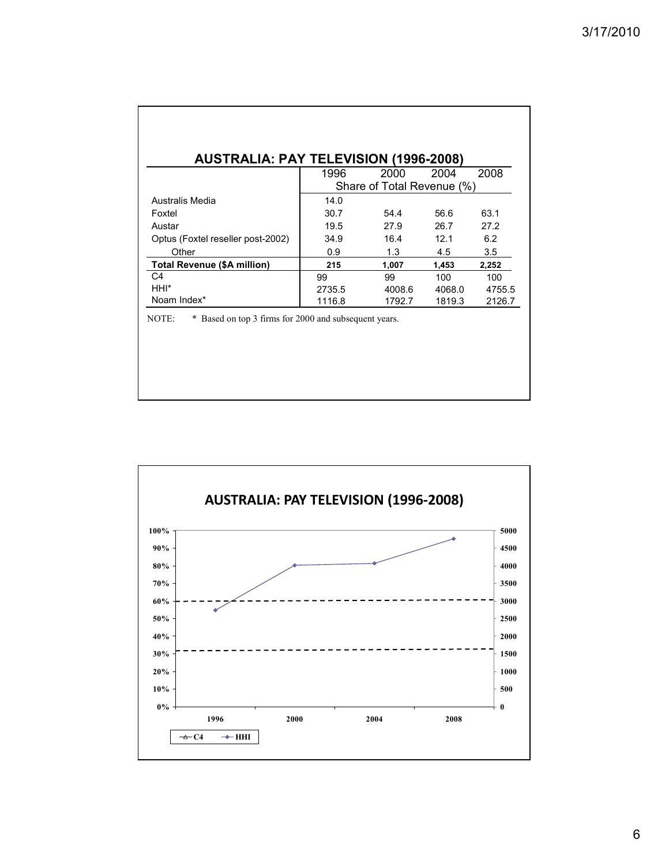| <b>AUSTRALIA: PAY TELEVISION (1996-2008)</b> |                            |        |        |        |  |  |
|----------------------------------------------|----------------------------|--------|--------|--------|--|--|
|                                              | 1996                       | 2000   | 2004   | 2008   |  |  |
|                                              | Share of Total Revenue (%) |        |        |        |  |  |
| Australis Media                              | 14.0                       |        |        |        |  |  |
| Foxtel                                       | 30.7                       | 54.4   | 56.6   | 63.1   |  |  |
| Austar                                       | 19.5                       | 27.9   | 26.7   | 27.2   |  |  |
| Optus (Foxtel reseller post-2002)            | 34.9                       | 16.4   | 12.1   | 6.2    |  |  |
| Other                                        | 0.9                        | 1.3    | 4.5    | 3.5    |  |  |
| <b>Total Revenue (\$A million)</b>           | 215                        | 1,007  | 1,453  | 2,252  |  |  |
| C4                                           | 99                         | 99     | 100    | 100    |  |  |
| HHI*                                         | 2735.5                     | 4008.6 | 4068.0 | 4755.5 |  |  |
| Noam Index*                                  | 1116.8                     | 1792.7 | 1819.3 | 2126.7 |  |  |

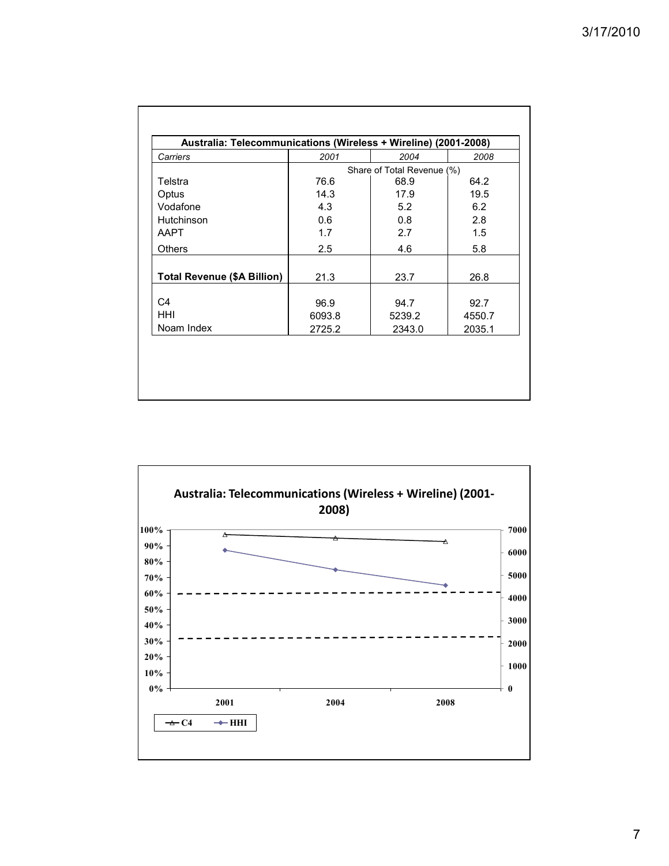| Carriers                           | 2001   | 2004                       | 2008   |  |  |  |
|------------------------------------|--------|----------------------------|--------|--|--|--|
|                                    |        | Share of Total Revenue (%) |        |  |  |  |
| Telstra                            | 76.6   | 68.9                       | 64.2   |  |  |  |
| Optus                              | 14.3   | 17.9                       | 19.5   |  |  |  |
| Vodafone                           | 4.3    | 5.2                        | 6.2    |  |  |  |
| Hutchinson                         | 0.6    | 0.8                        | 2.8    |  |  |  |
| <b>AAPT</b>                        | 1.7    | 2.7                        | 1.5    |  |  |  |
| Others                             | 2.5    | 4.6                        | 5.8    |  |  |  |
| <b>Total Revenue (\$A Billion)</b> | 21.3   | 23.7                       | 26.8   |  |  |  |
| C4                                 | 96.9   | 94.7                       | 92.7   |  |  |  |
| <b>HHI</b>                         | 6093.8 | 5239.2                     | 4550.7 |  |  |  |
| Noam Index                         | 2725.2 | 2343.0                     | 2035.1 |  |  |  |

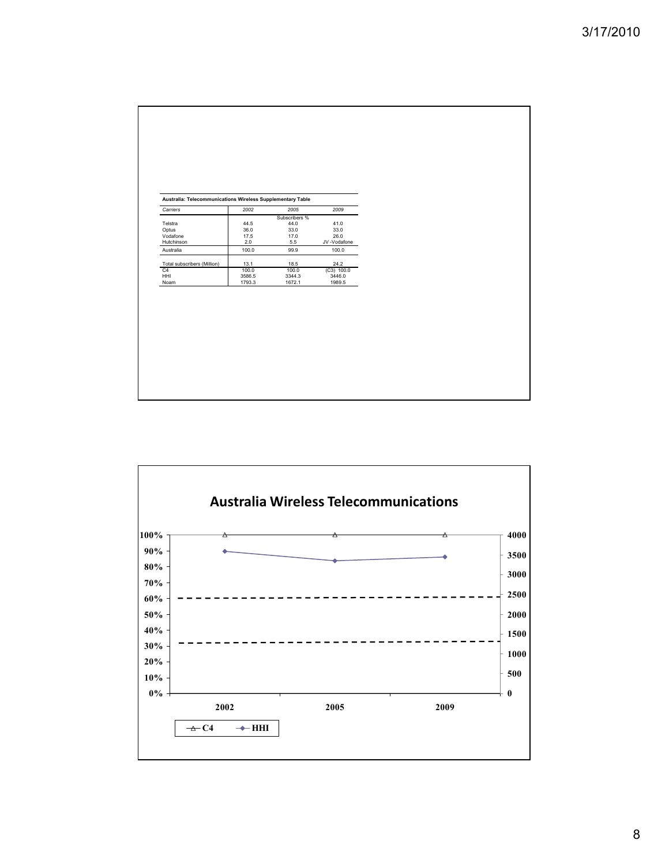